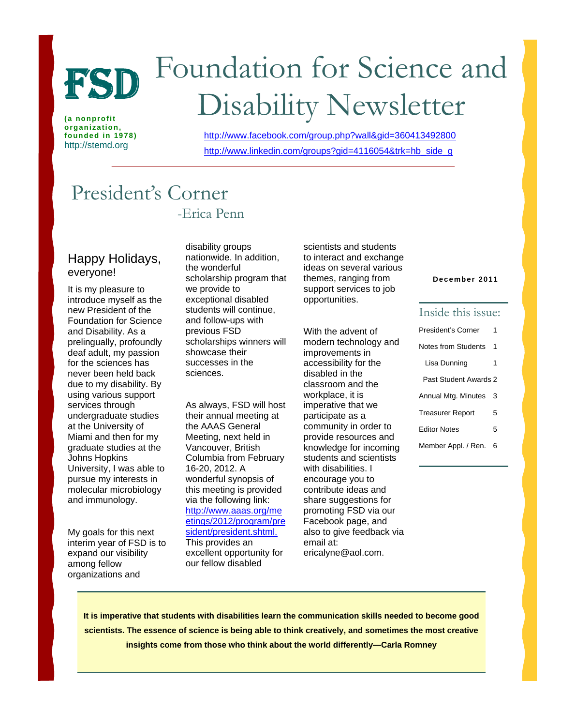

**(a nonprofit organization, founded in 1978)**  http://stemd.org

# Foundation for Science and FSD Foundation for Science a<br>Disability Newsletter

http://www.facebook.com/group.php?wall&gid=360413492800 http://www.linkedin.com/groups?gid=4116054&trk=hb\_side\_g

## President's Corner -Erica Penn

#### Happy Holidays, everyone!

It is my pleasure to introduce myself as the new President of the Foundation for Science and Disability. As a prelingually, profoundly deaf adult, my passion for the sciences has never been held back due to my disability. By using various support services through undergraduate studies at the University of Miami and then for my graduate studies at the Johns Hopkins University, I was able to pursue my interests in molecular microbiology and immunology.

My goals for this next interim year of FSD is to expand our visibility among fellow organizations and

disability groups nationwide. In addition, the wonderful scholarship program that we provide to exceptional disabled students will continue, and follow-ups with previous FSD scholarships winners will showcase their successes in the sciences.

As always, FSD will host their annual meeting at the AAAS General Meeting, next held in Vancouver, British Columbia from February 16-20, 2012. A wonderful synopsis of this meeting is provided via the following link: http://www.aaas.org/me etings/2012/program/pre sident/president.shtml. This provides an excellent opportunity for our fellow disabled

scientists and students to interact and exchange ideas on several various themes, ranging from support services to job opportunities.

With the advent of modern technology and improvements in accessibility for the disabled in the classroom and the workplace, it is imperative that we participate as a community in order to provide resources and knowledge for incoming students and scientists with disabilities. I encourage you to contribute ideas and share suggestions for promoting FSD via our Facebook page, and also to give feedback via email at: ericalyne@aol.com.

#### **December 2011**

#### Inside this issue:

| President's Corner      | 1 |  |  |
|-------------------------|---|--|--|
| Notes from Students     |   |  |  |
| Lisa Dunning            | 1 |  |  |
| Past Student Awards 2   |   |  |  |
| Annual Mtg. Minutes     | 3 |  |  |
| <b>Treasurer Report</b> | 5 |  |  |
| <b>Fditor Notes</b>     | 5 |  |  |
| Member Appl. / Ren.     | 6 |  |  |

**It is imperative that students with disabilities learn the communication skills needed to become good scientists. The essence of science is being able to think creatively, and sometimes the most creative insights come from those who think about the world differently—Carla Romney**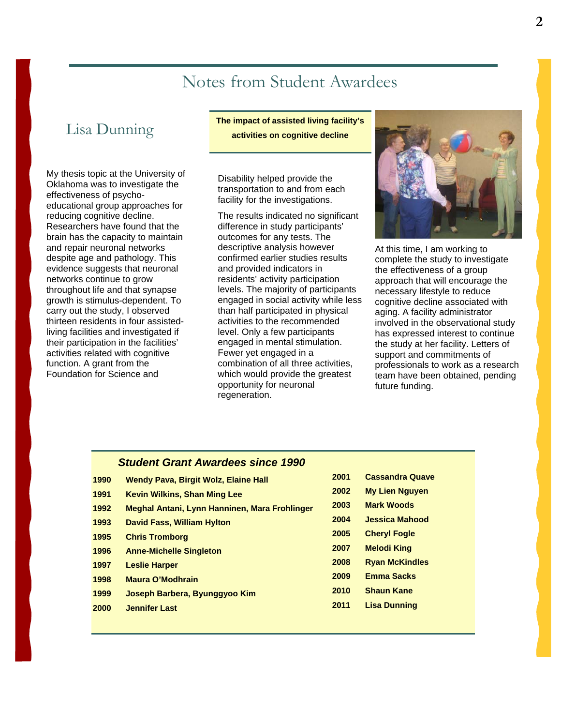# Notes from Student Awardees

### Lisa Dunning

My thesis topic at the University of Oklahoma was to investigate the effectiveness of psychoeducational group approaches for reducing cognitive decline. Researchers have found that the brain has the capacity to maintain and repair neuronal networks despite age and pathology. This evidence suggests that neuronal networks continue to grow throughout life and that synapse growth is stimulus-dependent. To carry out the study, I observed thirteen residents in four assistedliving facilities and investigated if their participation in the facilities' activities related with cognitive function. A grant from the Foundation for Science and

**The impact of assisted living facility's activities on cognitive decline** 

Disability helped provide the transportation to and from each facility for the investigations.

The results indicated no significant difference in study participants' outcomes for any tests. The descriptive analysis however confirmed earlier studies results and provided indicators in residents' activity participation levels. The majority of participants engaged in social activity while less than half participated in physical activities to the recommended level. Only a few participants engaged in mental stimulation. Fewer yet engaged in a combination of all three activities, which would provide the greatest opportunity for neuronal regeneration.



At this time, I am working to complete the study to investigate the effectiveness of a group approach that will encourage the necessary lifestyle to reduce cognitive decline associated with aging. A facility administrator involved in the observational study has expressed interest to continue the study at her facility. Letters of support and commitments of professionals to work as a research team have been obtained, pending future funding.

#### *Student Grant Awardees since 1990*

| 1990 | <b>Wendy Pava, Birgit Wolz, Elaine Hall</b>   | ZUU I |
|------|-----------------------------------------------|-------|
| 1991 | <b>Kevin Wilkins, Shan Ming Lee</b>           | 2002  |
| 1992 | Meghal Antani, Lynn Hanninen, Mara Frohlinger | 2003  |
| 1993 | <b>David Fass, William Hylton</b>             | 2004  |
| 1995 | <b>Chris Tromborg</b>                         | 2005  |
| 1996 | <b>Anne-Michelle Singleton</b>                | 2007  |
| 1997 | <b>Leslie Harper</b>                          | 2008  |
| 1998 | <b>Maura O'Modhrain</b>                       | 2009  |
| 1999 | Joseph Barbera, Byunggyoo Kim                 | 2010  |
| 2000 | <b>Jennifer Last</b>                          | 2011  |
|      |                                               |       |

| 2002 | My Lien Nguyen        |
|------|-----------------------|
| 2003 | <b>Mark Woods</b>     |
| 2004 | Jessica Mahood        |
| 2005 | <b>Cheryl Fogle</b>   |
| 2007 | <b>Melodi King</b>    |
| 2008 | <b>Ryan McKindles</b> |
| 2009 | <b>Emma Sacks</b>     |
| 2010 | <b>Shaun Kane</b>     |
| 2011 | Lisa Dunning          |

**2001 Cassandra Quave**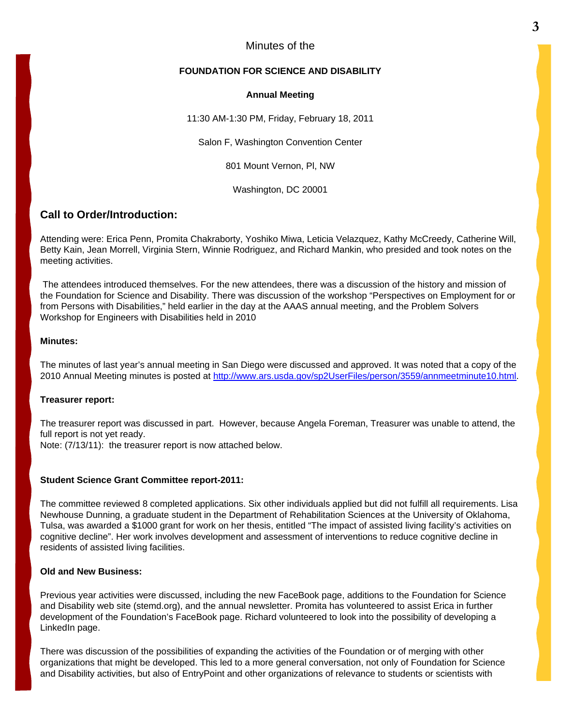#### Minutes of the

#### **FOUNDATION FOR SCIENCE AND DISABILITY**

#### **Annual Meeting**

11:30 AM-1:30 PM, Friday, February 18, 2011

Salon F, Washington Convention Center

801 Mount Vernon, Pl, NW

Washington, DC 20001

#### **Call to Order/Introduction:**

Attending were: Erica Penn, Promita Chakraborty, Yoshiko Miwa, Leticia Velazquez, Kathy McCreedy, Catherine Will, Betty Kain, Jean Morrell, Virginia Stern, Winnie Rodriguez, and Richard Mankin, who presided and took notes on the meeting activities.

 The attendees introduced themselves. For the new attendees, there was a discussion of the history and mission of the Foundation for Science and Disability. There was discussion of the workshop "Perspectives on Employment for or from Persons with Disabilities," held earlier in the day at the AAAS annual meeting, and the Problem Solvers Workshop for Engineers with Disabilities held in 2010

#### **Minutes:**

The minutes of last year's annual meeting in San Diego were discussed and approved. It was noted that a copy of the 2010 Annual Meeting minutes is posted at [http://www.ars.usda.gov/sp2UserFiles/person/3559/annmeetminute10.html.](http://www.ars.usda.gov/sp2UserFiles/person/3559/annmeetminute10.html)

#### **Treasurer report:**

The treasurer report was discussed in part. However, because Angela Foreman, Treasurer was unable to attend, the full report is not yet ready.

Note: (7/13/11): the treasurer report is now attached below.

#### **Student Science Grant Committee report-2011:**

The committee reviewed 8 completed applications. Six other individuals applied but did not fulfill all requirements. Lisa Newhouse Dunning, a graduate student in the Department of Rehabilitation Sciences at the University of Oklahoma, Tulsa, was awarded a \$1000 grant for work on her thesis, entitled "The impact of assisted living facility's activities on cognitive decline". Her work involves development and assessment of interventions to reduce cognitive decline in residents of assisted living facilities.

#### **Old and New Business:**

Previous year activities were discussed, including the new FaceBook page, additions to the Foundation for Science and Disability web site (stemd.org), and the annual newsletter. Promita has volunteered to assist Erica in further development of the Foundation's FaceBook page. Richard volunteered to look into the possibility of developing a LinkedIn page.

There was discussion of the possibilities of expanding the activities of the Foundation or of merging with other organizations that might be developed. This led to a more general conversation, not only of Foundation for Science and Disability activities, but also of EntryPoint and other organizations of relevance to students or scientists with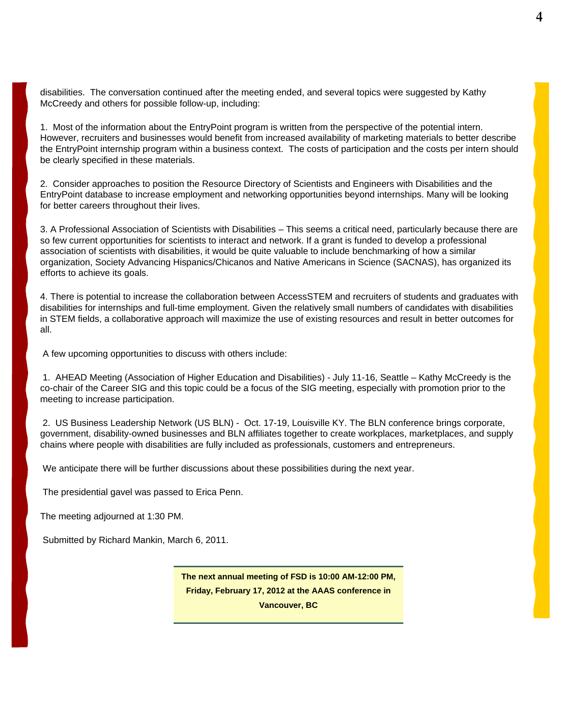disabilities. The conversation continued after the meeting ended, and several topics were suggested by Kathy McCreedy and others for possible follow-up, including:

1. Most of the information about the EntryPoint program is written from the perspective of the potential intern. However, recruiters and businesses would benefit from increased availability of marketing materials to better describe the EntryPoint internship program within a business context. The costs of participation and the costs per intern should be clearly specified in these materials.

2. Consider approaches to position the Resource Directory of Scientists and Engineers with Disabilities and the EntryPoint database to increase employment and networking opportunities beyond internships. Many will be looking for better careers throughout their lives.

3. A Professional Association of Scientists with Disabilities – This seems a critical need, particularly because there are so few current opportunities for scientists to interact and network. If a grant is funded to develop a professional association of scientists with disabilities, it would be quite valuable to include benchmarking of how a similar organization, Society Advancing Hispanics/Chicanos and Native Americans in Science (SACNAS), has organized its efforts to achieve its goals.

4. There is potential to increase the collaboration between AccessSTEM and recruiters of students and graduates with disabilities for internships and full-time employment. Given the relatively small numbers of candidates with disabilities in STEM fields, a collaborative approach will maximize the use of existing resources and result in better outcomes for all.

A few upcoming opportunities to discuss with others include:

 1. AHEAD Meeting (Association of Higher Education and Disabilities) - July 11-16, Seattle – Kathy McCreedy is the co-chair of the Career SIG and this topic could be a focus of the SIG meeting, especially with promotion prior to the meeting to increase participation.

 2. US Business Leadership Network (US BLN) - Oct. 17-19, Louisville KY. The BLN conference brings corporate, government, disability-owned businesses and BLN affiliates together to create workplaces, marketplaces, and supply chains where people with disabilities are fully included as professionals, customers and entrepreneurs.

We anticipate there will be further discussions about these possibilities during the next year.

The presidential gavel was passed to Erica Penn.

The meeting adjourned at 1:30 PM.

Submitted by Richard Mankin, March 6, 2011.

**The next annual meeting of FSD is 10:00 AM-12:00 PM, Friday, February 17, 2012 at the AAAS conference in Vancouver, BC**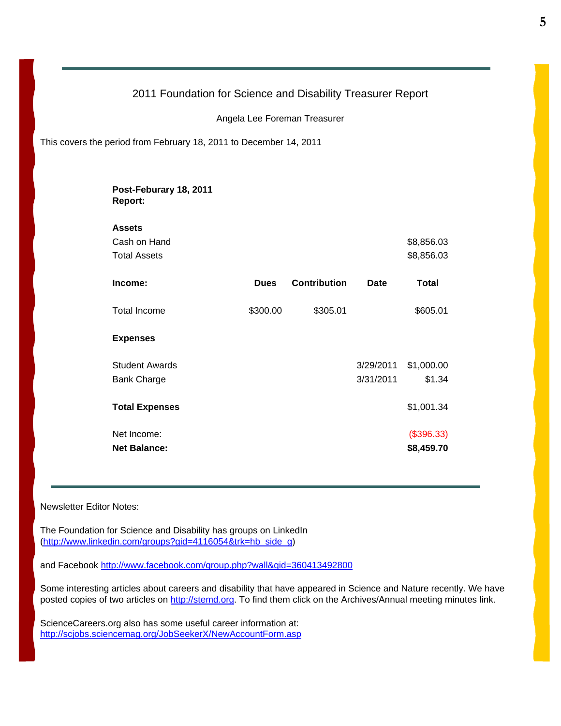#### 2011 Foundation for Science and Disability Treasurer Report

Angela Lee Foreman Treasurer

This covers the period from February 18, 2011 to December 14, 2011

| Post-Feburary 18, 2011<br>Report: |             |                     |             |            |
|-----------------------------------|-------------|---------------------|-------------|------------|
| <b>Assets</b>                     |             |                     |             |            |
| Cash on Hand                      |             |                     |             | \$8,856.03 |
| <b>Total Assets</b>               |             |                     |             | \$8,856.03 |
| Income:                           | <b>Dues</b> | <b>Contribution</b> | <b>Date</b> | Total      |
| <b>Total Income</b>               | \$300.00    | \$305.01            |             | \$605.01   |
| <b>Expenses</b>                   |             |                     |             |            |
| <b>Student Awards</b>             |             |                     | 3/29/2011   | \$1,000.00 |
| <b>Bank Charge</b>                |             |                     | 3/31/2011   | \$1.34     |
| <b>Total Expenses</b>             |             |                     |             | \$1,001.34 |
| Net Income:                       |             |                     |             | (\$396.33) |
| <b>Net Balance:</b>               |             |                     |             | \$8,459.70 |

Newsletter Editor Notes:

The Foundation for Science and Disability has groups on LinkedIn [\(http://www.linkedin.com/groups?gid=4116054&trk=hb\\_side\\_g](http://www.linkedin.com/groups?gid=4116054&trk=hb_side_g))

and Facebook<http://www.facebook.com/group.php?wall&gid=360413492800>

Some interesting articles about careers and disability that have appeared in Science and Nature recently. We have posted copies of two articles on http://stemd.org. To find them click on the Archives/Annual meeting minutes link.

ScienceCareers.org also has some useful career information at: http://scjobs.sciencemag.org/JobSeekerX/NewAccountForm.asp